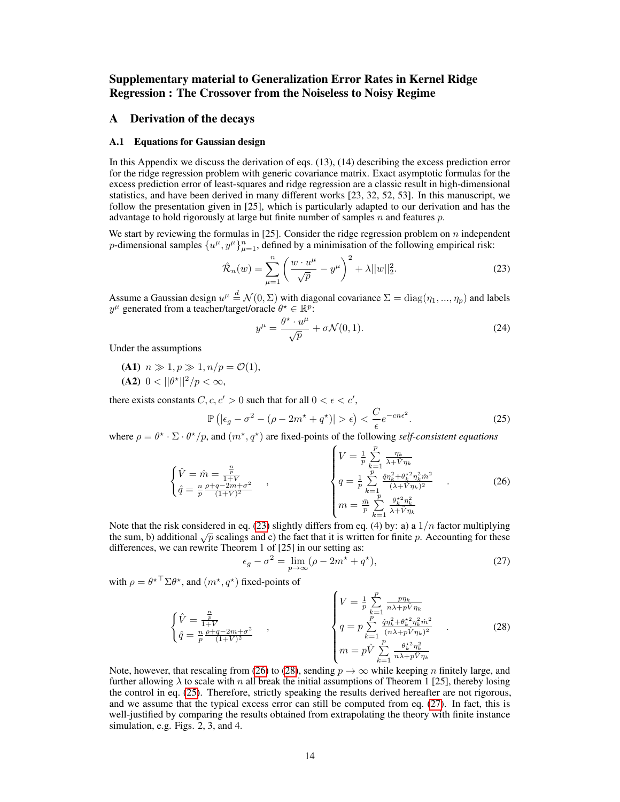# Supplementary material to Generalization Error Rates in Kernel Ridge Regression : The Crossover from the Noiseless to Noisy Regime

# <span id="page-0-5"></span>A Derivation of the decays

#### A.1 Equations for Gaussian design

In this Appendix we discuss the derivation of eqs. (13), (14) describing the excess prediction error for the ridge regression problem with generic covariance matrix. Exact asymptotic formulas for the excess prediction error of least-squares and ridge regression are a classic result in high-dimensional statistics, and have been derived in many different works [23, 32, 52, 53]. In this manuscript, we follow the presentation given in [25], which is particularly adapted to our derivation and has the advantage to hold rigorously at large but finite number of samples  $n$  and features  $p$ .

We start by reviewing the formulas in [25]. Consider the ridge regression problem on  $n$  independent p-dimensional samples  $\{u^{\mu}, y^{\mu}\}_{\mu=1}^{n}$ , defined by a minimisation of the following empirical risk:

$$
\hat{\mathcal{R}}_n(w) = \sum_{\mu=1}^n \left( \frac{w \cdot u^{\mu}}{\sqrt{p}} - y^{\mu} \right)^2 + \lambda ||w||_2^2.
$$
 (23)

Assume a Gaussian design  $u^{\mu} \stackrel{d}{=} \mathcal{N}(0,\Sigma)$  with diagonal covariance  $\Sigma = \text{diag}(\eta_1, ..., \eta_p)$  and labels  $y^{\mu}$  generated from a teacher/target/oracle  $\theta^* \in \mathbb{R}^p$ :

<span id="page-0-3"></span><span id="page-0-0"></span>
$$
y^{\mu} = \frac{\theta^{\star} \cdot u^{\mu}}{\sqrt{p}} + \sigma \mathcal{N}(0, 1). \tag{24}
$$

Under the assumptions

(A1)  $n \gg 1, p \gg 1, n/p = \mathcal{O}(1),$ (A2)  $0 < ||\theta^*||^2/p < \infty$ ,

there exists constants  $C, c, c' > 0$  such that for all  $0 < \epsilon < c'$ ,

$$
\mathbb{P}\left(|\epsilon_g - \sigma^2 - (\rho - 2m^* + q^*)| > \epsilon\right) < \frac{C}{\epsilon}e^{-cn\epsilon^2}.
$$
\n(25)

where  $\rho = \theta^* \cdot \Sigma \cdot \theta^* / p$ , and  $(m^*, q^*)$  are fixed-points of the following *self-consistent equations* 

$$
\begin{cases}\n\hat{V} = \hat{m} = \frac{\frac{n}{p}}{1+V} \\
\hat{q} = \frac{n}{p} \frac{\rho + q - 2m + \sigma^2}{(1+V)^2}\n\end{cases},\n\qquad\n\begin{cases}\nV = \frac{1}{p} \sum_{k=1}^p \frac{\eta_k}{\lambda + \hat{V} \eta_k} \\
q = \frac{1}{p} \sum_{k=1}^p \frac{\hat{q} \eta_k^2 + \theta_k^* \eta_k^2 \hat{m}^2}{(\lambda + \hat{V} \eta_k)^2} \\
m = \frac{\hat{m}}{p} \sum_{k=1}^p \frac{\theta_k^* \eta_k^2}{\lambda + \hat{V} \eta_k}\n\end{cases}.\n\tag{26}
$$

Note that the risk considered in eq. [\(23\)](#page-0-0) slightly differs from eq. (4) by: a) a  $1/n$  factor multiplying the sum, b) additional  $\sqrt{p}$  scalings and c) the fact that it is written for finite p. Accounting for these differences, we can rewrite Theorem 1 of [25] in our setting as:

<span id="page-0-4"></span><span id="page-0-2"></span><span id="page-0-1"></span>
$$
\epsilon_g - \sigma^2 = \lim_{p \to \infty} (\rho - 2m^* + q^*), \tag{27}
$$

with  $\rho = \theta^{\star \top} \Sigma \theta^{\star}$ , and  $(m^{\star}, q^{\star})$  fixed-points of

$$
\begin{cases}\n\hat{V} = \frac{\frac{n}{p}}{1+V} \\
\hat{q} = \frac{n}{p}\frac{p+q-2m+\sigma^2}{(1+V)^2}\n\end{cases},\n\qquad\n\begin{cases}\nV = \frac{1}{p}\sum_{k=1}^p \frac{p\eta_k}{n\lambda + p\hat{V}\eta_k} \\
q = p\sum_{k=1}^p \frac{\hat{q}\eta_k^2 + \theta_k^2 \eta_k^2 \hat{m}^2}{(n\lambda + p\hat{V}\eta_k)^2} \\
m = p\hat{V}\sum_{k=1}^p \frac{\theta_k^2 \eta_k^2}{n\lambda + p\hat{V}\eta_k}\n\end{cases}.\n\tag{28}
$$

Note, however, that rescaling from [\(26\)](#page-0-1) to [\(28\)](#page-0-2), sending  $p \to \infty$  while keeping n finitely large, and further allowing  $\lambda$  to scale with n all break the initial assumptions of Theorem 1 [25], thereby losing the control in eq. [\(25\)](#page-0-3). Therefore, strictly speaking the results derived hereafter are not rigorous, and we assume that the typical excess error can still be computed from eq. [\(27\)](#page-0-4). In fact, this is well-justified by comparing the results obtained from extrapolating the theory with finite instance simulation, e.g. Figs. 2, 3, and 4.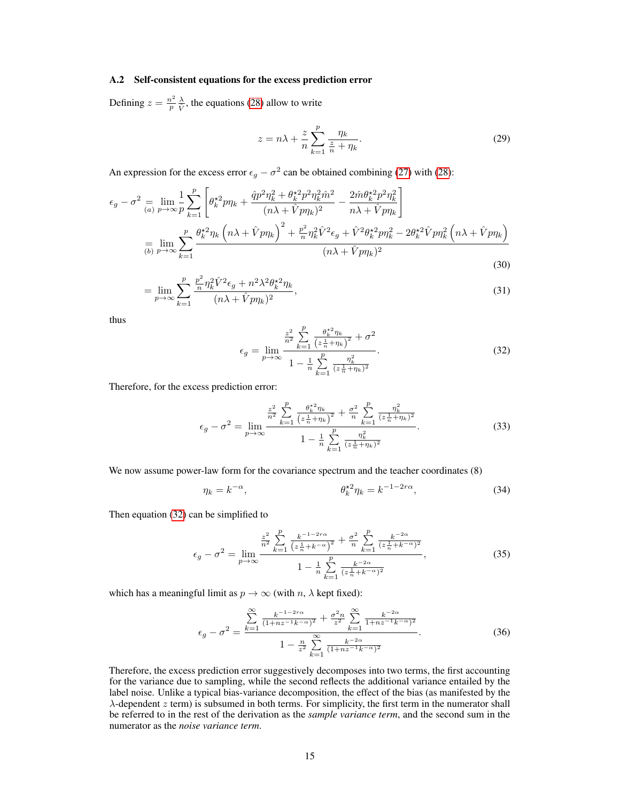#### A.2 Self-consistent equations for the excess prediction error

<span id="page-1-1"></span>Defining  $z = \frac{n^2}{n}$  $\frac{n^2}{p} \frac{\lambda}{\hat{V}}$ , the equations [\(28\)](#page-0-2) allow to write

$$
z = n\lambda + \frac{z}{n} \sum_{k=1}^{p} \frac{\eta_k}{\frac{z}{n} + \eta_k}.
$$
 (29)

An expression for the excess error  $\epsilon_g - \sigma^2$  can be obtained combining [\(27\)](#page-0-4) with [\(28\)](#page-0-2):

$$
\epsilon_{g} - \sigma^{2} = \lim_{(a) \ p \to \infty} \frac{1}{p} \sum_{k=1}^{p} \left[ \theta_{k}^{*2} p \eta_{k} + \frac{\hat{q} p^{2} \eta_{k}^{2} + \theta_{k}^{*2} p^{2} \eta_{k}^{2} \hat{m}^{2}}{(n\lambda + \hat{V} p \eta_{k})^{2}} - \frac{2 \hat{m} \theta_{k}^{*2} p^{2} \eta_{k}^{2}}{n\lambda + \hat{V} p \eta_{k}} \right]
$$

$$
= \lim_{(b) \ p \to \infty} \sum_{k=1}^{p} \frac{\theta_{k}^{*2} \eta_{k} \left( n\lambda + \hat{V} p \eta_{k} \right)^{2} + \frac{p^{2}}{n} \eta_{k}^{2} \hat{V}^{2} \epsilon_{g} + \hat{V}^{2} \theta_{k}^{*2} p \eta_{k}^{2} - 2 \theta_{k}^{*2} \hat{V} p \eta_{k}^{2} \left( n\lambda + \hat{V} p \eta_{k} \right)}{(n\lambda + \hat{V} p \eta_{k})^{2}}
$$
(30)

$$
= \lim_{p \to \infty} \sum_{k=1}^{p} \frac{\frac{p^2}{n} \eta_k^2 \hat{V}^2 \epsilon_g + n^2 \lambda^2 \theta_k^{*2} \eta_k}{(n\lambda + \hat{V} p \eta_k)^2},
$$
\n(31)

<span id="page-1-0"></span>thus

$$
\epsilon_g = \lim_{p \to \infty} \frac{\frac{z^2}{n^2} \sum_{k=1}^p \frac{\theta_k^{*2} \eta_k}{(z \frac{1}{n} + \eta_k)^2} + \sigma^2}{1 - \frac{1}{n} \sum_{k=1}^p \frac{\eta_k^2}{(z \frac{1}{n} + \eta_k)^2}}.
$$
(32)

Therefore, for the excess prediction error:

$$
\epsilon_g - \sigma^2 = \lim_{p \to \infty} \frac{\frac{z^2}{n^2} \sum_{k=1}^p \frac{\theta_k^{*2} \eta_k}{(z \frac{1}{n} + \eta_k)^2} + \frac{\sigma^2}{n} \sum_{k=1}^p \frac{\eta_k^2}{(z \frac{1}{n} + \eta_k)^2}}{1 - \frac{1}{n} \sum_{k=1}^p \frac{\eta_k^2}{(z \frac{1}{n} + \eta_k)^2}}.
$$
(33)

We now assume power-law form for the covariance spectrum and the teacher coordinates  $(8)$ 

<span id="page-1-2"></span>
$$
\eta_k = k^{-\alpha}, \qquad \theta_k^{\star 2} \eta_k = k^{-1-2r\alpha}, \qquad (34)
$$

Then equation [\(32\)](#page-1-0) can be simplified to

$$
\epsilon_g - \sigma^2 = \lim_{p \to \infty} \frac{\frac{z^2}{n^2} \sum_{k=1}^p \frac{k^{-1-2r\alpha}}{\left(z\frac{1}{n} + k^{-\alpha}\right)^2} + \frac{\sigma^2}{n} \sum_{k=1}^p \frac{k^{-2\alpha}}{\left(z\frac{1}{n} + k^{-\alpha}\right)^2}}{1 - \frac{1}{n} \sum_{k=1}^p \frac{k^{-2\alpha}}{\left(z\frac{1}{n} + k^{-\alpha}\right)^2}},\tag{35}
$$

which has a meaningful limit as  $p \to \infty$  (with n,  $\lambda$  kept fixed):

$$
\epsilon_g - \sigma^2 = \frac{\sum_{k=1}^{\infty} \frac{k^{-1-2r\alpha}}{(1+nz^{-1}k^{-\alpha})^2} + \frac{\sigma^2 n}{z^2} \sum_{k=1}^{\infty} \frac{k^{-2\alpha}}{1+nz^{-1}k^{-\alpha})^2}}{1 - \frac{n}{z^2} \sum_{k=1}^{\infty} \frac{k^{-2\alpha}}{(1+nz^{-1}k^{-\alpha})^2}}.
$$
(36)

Therefore, the excess prediction error suggestively decomposes into two terms, the first accounting for the variance due to sampling, while the second reflects the additional variance entailed by the label noise. Unlike a typical bias-variance decomposition, the effect of the bias (as manifested by the  $\lambda$ -dependent  $z$  term) is subsumed in both terms. For simplicity, the first term in the numerator shall be referred to in the rest of the derivation as the *sample variance term*, and the second sum in the numerator as the *noise variance term*.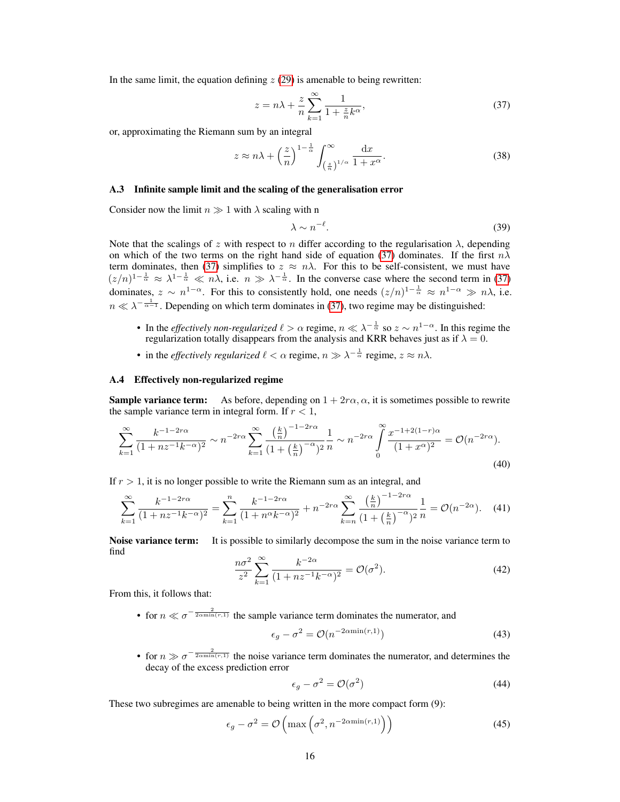In the same limit, the equation defining  $z(29)$  $z(29)$  is amenable to being rewritten:

<span id="page-2-0"></span>
$$
z = n\lambda + \frac{z}{n} \sum_{k=1}^{\infty} \frac{1}{1 + \frac{z}{n}k^{\alpha}},\tag{37}
$$

or, approximating the Riemann sum by an integral

$$
z \approx n\lambda + \left(\frac{z}{n}\right)^{1-\frac{1}{\alpha}} \int_{\left(\frac{z}{n}\right)^{1/\alpha}}^{\infty} \frac{\mathrm{d}x}{1+x^{\alpha}}.
$$
 (38)

### A.3 Infinite sample limit and the scaling of the generalisation error

Consider now the limit  $n \gg 1$  with  $\lambda$  scaling with n

$$
\lambda \sim n^{-\ell}.\tag{39}
$$

Note that the scalings of z with respect to n differ according to the regularisation  $\lambda$ , depending on which of the two terms on the right hand side of equation [\(37\)](#page-2-0) dominates. If the first  $n\lambda$ term dominates, then [\(37\)](#page-2-0) simplifies to  $z \approx n\lambda$ . For this to be self-consistent, we must have  $(z/n)^{1-\frac{1}{\alpha}} \approx \lambda^{1-\frac{1}{\alpha}} \ll n\lambda$ , i.e.  $n \gg \lambda^{-\frac{1}{\alpha}}$ . In the converse case where the second term in [\(37\)](#page-2-0) dominates,  $z \sim n^{1-\alpha}$ . For this to consistently hold, one needs  $(z/n)^{1-\frac{1}{\alpha}} \approx n^{1-\alpha} \gg n\lambda$ , i.e.  $n \ll \lambda^{-\frac{1}{\alpha-1}}$ . Depending on which term dominates in [\(37\)](#page-2-0), two regime may be distinguished:

- In the *effectively non-regularized*  $\ell > \alpha$  regime,  $n \ll \lambda^{-\frac{1}{\alpha}}$  so  $z \sim n^{1-\alpha}$ . In this regime the regularization totally disappears from the analysis and KRR behaves just as if  $\lambda = 0$ .
- in the *effectively regularized*  $\ell < \alpha$  regime,  $n \gg \lambda^{-\frac{1}{\alpha}}$  regime,  $z \approx n\lambda$ .

# <span id="page-2-1"></span>A.4 Effectively non-regularized regime

**Sample variance term:** As before, depending on  $1 + 2r\alpha$ ,  $\alpha$ , it is sometimes possible to rewrite the sample variance term in integral form. If  $r < 1$ ,

$$
\sum_{k=1}^{\infty} \frac{k^{-1-2r\alpha}}{(1+nz^{-1}k^{-\alpha})^2} \sim n^{-2r\alpha} \sum_{k=1}^{\infty} \frac{\left(\frac{k}{n}\right)^{-1-2r\alpha}}{(1+\left(\frac{k}{n}\right)^{-\alpha})^2} \frac{1}{n} \sim n^{-2r\alpha} \int_{0}^{\infty} \frac{x^{-1+2(1-r)\alpha}}{(1+x^{\alpha})^2} = \mathcal{O}(n^{-2r\alpha}).
$$
\n(40)

If  $r > 1$ , it is no longer possible to write the Riemann sum as an integral, and

$$
\sum_{k=1}^{\infty} \frac{k^{-1-2r\alpha}}{(1+nz^{-1}k^{-\alpha})^2} = \sum_{k=1}^{n} \frac{k^{-1-2r\alpha}}{(1+n^{\alpha}k^{-\alpha})^2} + n^{-2r\alpha} \sum_{k=n}^{\infty} \frac{\left(\frac{k}{n}\right)^{-1-2r\alpha}}{(1+\left(\frac{k}{n}\right)^{-\alpha})^2} \frac{1}{n} = \mathcal{O}(n^{-2\alpha}).\tag{41}
$$

Noise variance term: It is possible to similarly decompose the sum in the noise variance term to find

$$
\frac{n\sigma^2}{z^2} \sum_{k=1}^{\infty} \frac{k^{-2\alpha}}{(1+nz^{-1}k^{-\alpha})^2} = \mathcal{O}(\sigma^2). \tag{42}
$$

From this, it follows that:

• for  $n \ll \sigma^{-\frac{2}{2\text{cmin}(r,1)}}$  the sample variance term dominates the numerator, and

$$
\epsilon_g - \sigma^2 = \mathcal{O}(n^{-2\alpha \min(r, 1)})\tag{43}
$$

• for  $n \gg \sigma^{-\frac{2}{2\text{cmin}(r,1)}}$  the noise variance term dominates the numerator, and determines the decay of the excess prediction error

$$
\epsilon_g - \sigma^2 = \mathcal{O}(\sigma^2) \tag{44}
$$

These two subregimes are amenable to being written in the more compact form (9):

$$
\epsilon_g - \sigma^2 = \mathcal{O}\left(\max\left(\sigma^2, n^{-2\alpha \min(r, 1)}\right)\right) \tag{45}
$$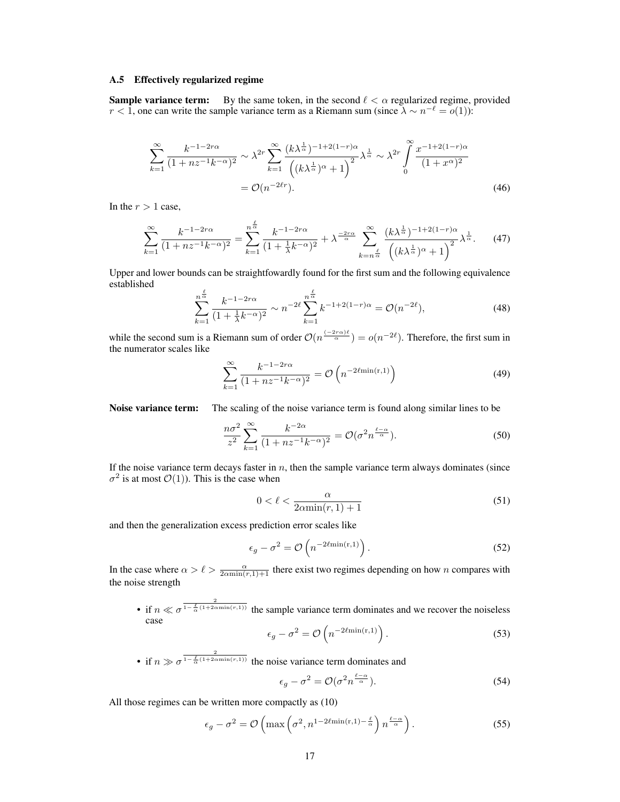#### <span id="page-3-0"></span>A.5 Effectively regularized regime

**Sample variance term:** By the same token, in the second  $\ell < \alpha$  regularized regime, provided  $r < 1$ , one can write the sample variance term as a Riemann sum (since  $\lambda \sim n^{-\ell} = o(1)$ ):

$$
\sum_{k=1}^{\infty} \frac{k^{-1-2r\alpha}}{(1+nz^{-1}k^{-\alpha})^2} \sim \lambda^{2r} \sum_{k=1}^{\infty} \frac{(k\lambda^{\frac{1}{\alpha}})^{-1+2(1-r)\alpha}}{\left((k\lambda^{\frac{1}{\alpha}})^{\alpha}+1\right)^2} \lambda^{\frac{1}{\alpha}} \sim \lambda^{2r} \int_{0}^{\infty} \frac{x^{-1+2(1-r)\alpha}}{(1+x^{\alpha})^2}
$$

$$
= \mathcal{O}(n^{-2\ell r}). \tag{46}
$$

In the  $r > 1$  case,

$$
\sum_{k=1}^{\infty} \frac{k^{-1-2r\alpha}}{(1+nz^{-1}k^{-\alpha})^2} = \sum_{k=1}^{n^{\frac{\ell}{\alpha}}} \frac{k^{-1-2r\alpha}}{(1+\frac{1}{\lambda}k^{-\alpha})^2} + \lambda^{\frac{-2r\alpha}{\alpha}} \sum_{k=n^{\frac{\ell}{\alpha}}}^{\infty} \frac{(k\lambda^{\frac{1}{\alpha}})^{-1+2(1-r)\alpha}}{\left((k\lambda^{\frac{1}{\alpha}})^{\alpha}+1\right)^2} \lambda^{\frac{1}{\alpha}}.
$$
 (47)

Upper and lower bounds can be straightfowardly found for the first sum and the following equivalence established

$$
\sum_{k=1}^{n^{\frac{\ell}{\alpha}}} \frac{k^{-1-2r\alpha}}{(1+\frac{1}{\lambda}k^{-\alpha})^2} \sim n^{-2\ell} \sum_{k=1}^{n^{\frac{\ell}{\alpha}}} k^{-1+2(1-r)\alpha} = \mathcal{O}(n^{-2\ell}),\tag{48}
$$

while the second sum is a Riemann sum of order  $\mathcal{O}(n^{\frac{(-2r\alpha)\ell}{\alpha}}) = o(n^{-2\ell})$ . Therefore, the first sum in the numerator scales like

$$
\sum_{k=1}^{\infty} \frac{k^{-1-2r\alpha}}{(1+nz^{-1}k^{-\alpha})^2} = \mathcal{O}\left(n^{-2\ell \min(r,1)}\right)
$$
(49)

Noise variance term: The scaling of the noise variance term is found along similar lines to be

$$
\frac{n\sigma^2}{z^2} \sum_{k=1}^{\infty} \frac{k^{-2\alpha}}{(1+nz^{-1}k^{-\alpha})^2} = \mathcal{O}(\sigma^2 n^{\frac{\ell-\alpha}{\alpha}}). \tag{50}
$$

If the noise variance term decays faster in  $n$ , then the sample variance term always dominates (since  $\sigma^2$  is at most  $\mathcal{O}(1)$ ). This is the case when

$$
0 < \ell < \frac{\alpha}{2\alpha \min(r, 1) + 1} \tag{51}
$$

and then the generalization excess prediction error scales like

$$
\epsilon_g - \sigma^2 = \mathcal{O}\left(n^{-2\ell \min(r,1)}\right). \tag{52}
$$

In the case where  $\alpha > \ell > \frac{\alpha}{2\alpha \min(r,1)+1}$  there exist two regimes depending on how n compares with the noise strength

• if  $n \ll \sigma^{\frac{2}{1-\frac{\ell}{\alpha}(1+2\alpha\min(r,1))}}$  the sample variance term dominates and we recover the noiseless case

$$
\epsilon_g - \sigma^2 = \mathcal{O}\left(n^{-2\ell \min(r,1)}\right). \tag{53}
$$

• if  $n \gg \sigma^{\frac{2}{1-\frac{\ell}{\alpha}(1+2\alpha\min(r,1))}}$  the noise variance term dominates and

$$
\epsilon_g - \sigma^2 = \mathcal{O}(\sigma^2 n^{\frac{\ell - \alpha}{\alpha}}). \tag{54}
$$

All those regimes can be written more compactly as (10)

$$
\epsilon_g - \sigma^2 = \mathcal{O}\left(\max\left(\sigma^2, n^{1-2\ell\min(r, 1) - \frac{\ell}{\alpha}}\right) n^{\frac{\ell - \alpha}{\alpha}}\right). \tag{55}
$$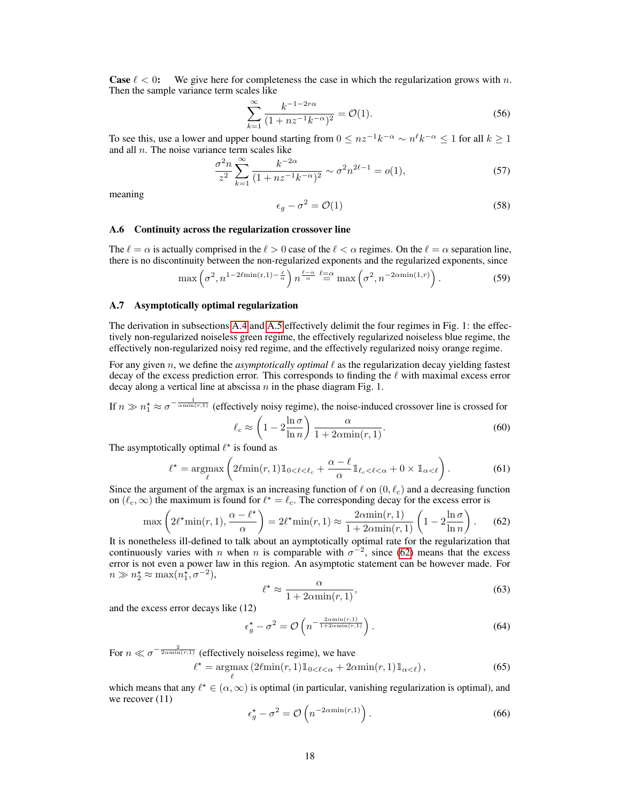**Case**  $\ell < 0$ : We give here for completeness the case in which the regularization grows with n. Then the sample variance term scales like

$$
\sum_{k=1}^{\infty} \frac{k^{-1-2r\alpha}}{(1+nz^{-1}k^{-\alpha})^2} = \mathcal{O}(1). \tag{56}
$$

To see this, use a lower and upper bound starting from  $0 \leq nz^{-1}k^{-\alpha} \sim n^{\ell}k^{-\alpha} \leq 1$  for all  $k \geq 1$ and all  $n$ . The noise variance term scales like

$$
\frac{\sigma^2 n}{z^2} \sum_{k=1}^{\infty} \frac{k^{-2\alpha}}{(1 + nz^{-1}k^{-\alpha})^2} \sim \sigma^2 n^{2\ell - 1} = o(1),\tag{57}
$$

meaning

$$
\epsilon_g - \sigma^2 = \mathcal{O}(1) \tag{58}
$$

### A.6 Continuity across the regularization crossover line

The  $\ell = \alpha$  is actually comprised in the  $\ell > 0$  case of the  $\ell < \alpha$  regimes. On the  $\ell = \alpha$  separation line, there is no discontinuity between the non-regularized exponents and the regularized exponents, since

$$
\max\left(\sigma^2, n^{1-2\ell\min(r,1)-\frac{\ell}{\alpha}}\right) n^{\frac{\ell-\alpha}{\alpha}} \stackrel{\ell=\alpha}{=} \max\left(\sigma^2, n^{-2\alpha\min(1,r)}\right). \tag{59}
$$

#### A.7 Asymptotically optimal regularization

The derivation in subsections [A.4](#page-2-1) and [A.5](#page-3-0) effectively delimit the four regimes in Fig. 1: the effectively non-regularized noiseless green regime, the effectively regularized noiseless blue regime, the effectively non-regularized noisy red regime, and the effectively regularized noisy orange regime.

For any given  $n$ , we define the *asymptotically optimal*  $\ell$  as the regularization decay yielding fastest decay of the excess prediction error. This corresponds to finding the  $\ell$  with maximal excess error decay along a vertical line at abscissa  $n$  in the phase diagram Fig. 1.

If  $n \gg n_1^* \approx \sigma^{-\frac{1}{\alpha \min(r,1)}}$  (effectively noisy regime), the noise-induced crossover line is crossed for

$$
\ell_c \approx \left(1 - 2\frac{\ln \sigma}{\ln n}\right) \frac{\alpha}{1 + 2\alpha \min(r, 1)}.\tag{60}
$$

The asymptotically optimal  $\ell^*$  is found as

$$
\ell^* = \underset{\ell}{\operatorname{argmax}} \left( 2\ell \min(r, 1) \mathbb{1}_{0 < \ell < \ell_c} + \frac{\alpha - \ell}{\alpha} \mathbb{1}_{\ell_c < \ell < \alpha} + 0 \times \mathbb{1}_{\alpha < \ell} \right). \tag{61}
$$

Since the argument of the argmax is an increasing function of  $\ell$  on  $(0, \ell_c)$  and a decreasing function on  $(\ell_c, \infty)$  the maximum is found for  $\ell^* = \ell_c$ . The corresponding decay for the excess error is

$$
\max\left(2\ell^* \min(r, 1), \frac{\alpha - \ell^*}{\alpha}\right) = 2\ell^* \min(r, 1) \approx \frac{2\alpha \min(r, 1)}{1 + 2\alpha \min(r, 1)} \left(1 - 2\frac{\ln \sigma}{\ln n}\right). \tag{62}
$$

It is nonetheless ill-defined to talk about an aymptotically optimal rate for the regularization that continuously varies with *n* when *n* is comparable with  $\sigma^{-2}$ , since [\(62\)](#page-4-0) means that the excess error is not even a power law in this region. An asymptotic statement can be however made. For  $n \gg n_2^{\star} \approx \max(n_1^{\star}, \sigma^{-2}),$ 

<span id="page-4-0"></span>
$$
\ell^* \approx \frac{\alpha}{1 + 2\alpha \min(r, 1)},\tag{63}
$$

and the excess error decays like (12)

$$
\epsilon_g^* - \sigma^2 = \mathcal{O}\left(n^{-\frac{2\alpha \min(r,1)}{1 + 2\alpha \min(r,1)}}\right).
$$
 (64)

For  $n \ll \sigma^{-\frac{2}{2\text{cmin}(r,1)}}$  (effectively noiseless regime), we have

$$
\ell^* = \underset{\ell}{\operatorname{argmax}} \left( 2\ell \min(r, 1) \mathbb{1}_{0 < \ell < \alpha} + 2\alpha \min(r, 1) \mathbb{1}_{\alpha < \ell} \right),\tag{65}
$$

which means that any  $\ell^* \in (\alpha, \infty)$  is optimal (in particular, vanishing regularization is optimal), and we recover  $(11)$ 

$$
\epsilon_g^* - \sigma^2 = \mathcal{O}\left(n^{-2\alpha \min(r, 1)}\right). \tag{66}
$$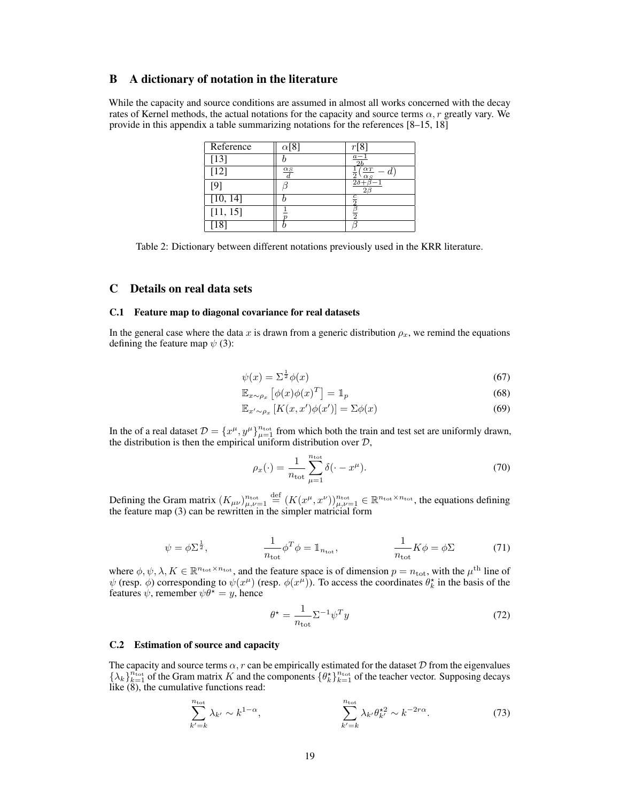# <span id="page-5-1"></span>B A dictionary of notation in the literature

While the capacity and source conditions are assumed in almost all works concerned with the decay rates of Kernel methods, the actual notations for the capacity and source terms  $\alpha$ , r greatly vary. We provide in this appendix a table summarizing notations for the references [8–15, 18]

| Reference       | $\alpha$ [8]         |                                          |
|-----------------|----------------------|------------------------------------------|
| $[13]$          |                      | $a_{-}$                                  |
| $[12]$          | $\frac{\alpha_S}{d}$ | $\alpha_T$<br>$\overline{2}$<br>$\alpha$ |
| 19 <sub>1</sub> |                      |                                          |
| [10, 14]        |                      |                                          |
| [11, 15]        |                      | $\mathcal{P}$                            |
|                 |                      |                                          |

Table 2: Dictionary between different notations previously used in the KRR literature.

# C Details on real data sets

### C.1 Feature map to diagonal covariance for real datasets

In the general case where the data x is drawn from a generic distribution  $\rho_x$ , we remind the equations defining the feature map  $\psi$  (3):

$$
\psi(x) = \Sigma^{\frac{1}{2}} \phi(x) \tag{67}
$$

$$
\mathbb{E}_{x \sim \rho_x} \left[ \phi(x) \phi(x)^T \right] = \mathbb{1}_p \tag{68}
$$

$$
\mathbb{E}_{x' \sim \rho_x} \left[ K(x, x') \phi(x') \right] = \Sigma \phi(x) \tag{69}
$$

In the of a real dataset  $\mathcal{D} = \{x^{\mu}, y^{\mu}\}_{\mu=1}^{n_{\text{tot}}}$  from which both the train and test set are uniformly drawn, the distribution is then the empirical uniform distribution over  $D$ ,

$$
\rho_x(\cdot) = \frac{1}{n_{\text{tot}}} \sum_{\mu=1}^{n_{\text{tot}}} \delta(\cdot - x^{\mu}). \tag{70}
$$

Defining the Gram matrix  $(K_{\mu\nu})^n_{\mu,\nu=1} \stackrel{\text{def}}{=} (K(x^\mu, x^\nu))^{n_{\text{tot}}}_{\mu,\nu=1} \in \mathbb{R}^{n_{\text{tot}} \times n_{\text{tot}}},$  the equations defining the feature map (3) can be rewritten in the simpler matricial form

$$
\psi = \phi \Sigma^{\frac{1}{2}}, \qquad \frac{1}{n_{\text{tot}}} \phi^T \phi = \mathbb{1}_{n_{\text{tot}}}, \qquad \frac{1}{n_{\text{tot}}} K \phi = \phi \Sigma \qquad (71)
$$

where  $\phi, \psi, \lambda, K \in \mathbb{R}^{n_{\text{tot}} \times n_{\text{tot}}}$ , and the feature space is of dimension  $p = n_{\text{tot}}$ , with the  $\mu^{\text{th}}$  line of  $\psi$  (resp.  $\phi$ ) corresponding to  $\psi(x^{\mu})$  (resp.  $\phi(x^{\mu})$ ). To access the coordinates  $\theta_k^*$  in the basis of the features  $\psi$ , remember  $\psi \theta^* = y$ , hence

<span id="page-5-0"></span>
$$
\theta^* = \frac{1}{n_{\text{tot}}} \Sigma^{-1} \psi^T y \tag{72}
$$

#### C.2 Estimation of source and capacity

The capacity and source terms  $\alpha$ , r can be empirically estimated for the dataset D from the eigenvalues  $\{\lambda_k\}_{k=1}^{n_{\text{tot}}}$  of the Gram matrix K and the components  $\{\theta_k^*\}_{k=1}^{n_{\text{tot}}}$  of the teacher vector. Supposing decays like  $(8)$ , the cumulative functions read:

$$
\sum_{k'=k}^{n_{\text{tot}}} \lambda_{k'} \sim k^{1-\alpha}, \qquad \sum_{k'=k}^{n_{\text{tot}}} \lambda_{k'} \theta_{k'}^{\star 2} \sim k^{-2r\alpha}.
$$
 (73)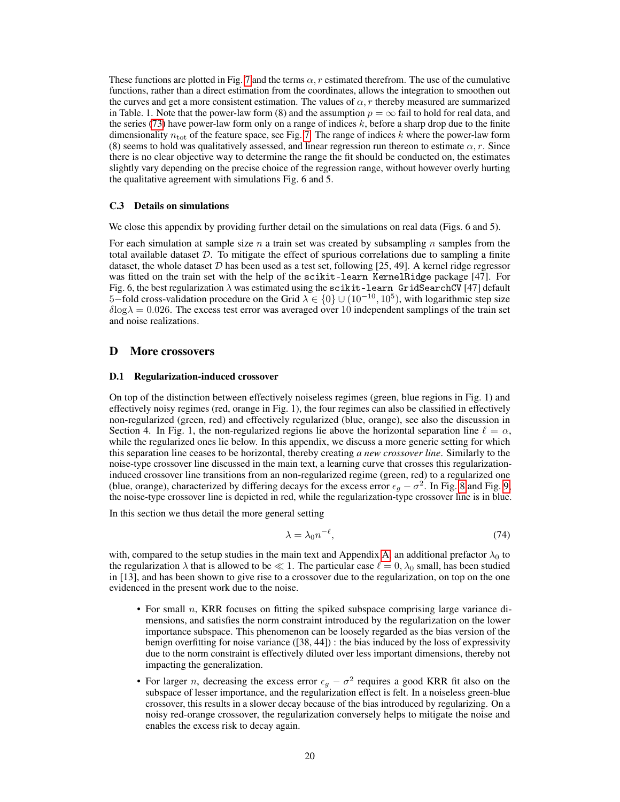These functions are plotted in Fig. [7](#page-7-0) and the terms  $\alpha$ , r estimated therefrom. The use of the cumulative functions, rather than a direct estimation from the coordinates, allows the integration to smoothen out the curves and get a more consistent estimation. The values of  $\alpha$ , r thereby measured are summarized in Table. 1. Note that the power-law form (8) and the assumption  $p = \infty$  fail to hold for real data, and the series [\(73\)](#page-5-0) have power-law form only on a range of indices  $k$ , before a sharp drop due to the finite dimensionality  $n_{\text{tot}}$  of the feature space, see Fig. [7.](#page-7-0) The range of indices k where the power-law form (8) seems to hold was qualitatively assessed, and linear regression run thereon to estimate  $\alpha$ , r. Since there is no clear objective way to determine the range the fit should be conducted on, the estimates slightly vary depending on the precise choice of the regression range, without however overly hurting the qualitative agreement with simulations Fig. 6 and 5.

### C.3 Details on simulations

We close this appendix by providing further detail on the simulations on real data (Figs. 6 and 5).

For each simulation at sample size  $n$  a train set was created by subsampling  $n$  samples from the total available dataset  $D$ . To mitigate the effect of spurious correlations due to sampling a finite dataset, the whole dataset  $D$  has been used as a test set, following [25, 49]. A kernel ridge regressor was fitted on the train set with the help of the scikit-learn KernelRidge package [47]. For Fig. 6, the best regularization  $\lambda$  was estimated using the scikit-learn GridSearchCV [47] default 5–fold cross-validation procedure on the Grid  $\lambda \in \{0\} \cup (10^{-10}, 10^5)$ , with logarithmic step size  $\delta$ log $\lambda = 0.026$ . The excess test error was averaged over 10 independent samplings of the train set and noise realizations.

# D More crossovers

#### D.1 Regularization-induced crossover

On top of the distinction between effectively noiseless regimes (green, blue regions in Fig. 1) and effectively noisy regimes (red, orange in Fig. 1), the four regimes can also be classified in effectively non-regularized (green, red) and effectively regularized (blue, orange), see also the discussion in Section 4. In Fig. 1, the non-regularized regions lie above the horizontal separation line  $\ell = \alpha$ , while the regularized ones lie below. In this appendix, we discuss a more generic setting for which this separation line ceases to be horizontal, thereby creating *a new crossover line*. Similarly to the noise-type crossover line discussed in the main text, a learning curve that crosses this regularizationinduced crossover line transitions from an non-regularized regime (green, red) to a regularized one (blue, orange), characterized by differing decays for the excess error  $\epsilon_g - \sigma^2$ . In Fig. [8](#page-8-0) and Fig. [9,](#page-8-1) the noise-type crossover line is depicted in red, while the regularization-type crossover line is in blue.

In this section we thus detail the more general setting

<span id="page-6-0"></span>
$$
\lambda = \lambda_0 n^{-\ell},\tag{74}
$$

with, compared to the setup studies in the main text and Appendix [A,](#page-0-5) an additional prefactor  $\lambda_0$  to the regularization  $\lambda$  that is allowed to be  $\ll 1$ . The particular case  $\ell = 0, \lambda_0$  small, has been studied in [13], and has been shown to give rise to a crossover due to the regularization, on top on the one evidenced in the present work due to the noise.

- For small n, KRR focuses on fitting the spiked subspace comprising large variance dimensions, and satisfies the norm constraint introduced by the regularization on the lower importance subspace. This phenomenon can be loosely regarded as the bias version of the benign overfitting for noise variance ([38, 44]) : the bias induced by the loss of expressivity due to the norm constraint is effectively diluted over less important dimensions, thereby not impacting the generalization.
- For larger *n*, decreasing the excess error  $\epsilon_g \sigma^2$  requires a good KRR fit also on the subspace of lesser importance, and the regularization effect is felt. In a noiseless green-blue crossover, this results in a slower decay because of the bias introduced by regularizing. On a noisy red-orange crossover, the regularization conversely helps to mitigate the noise and enables the excess risk to decay again.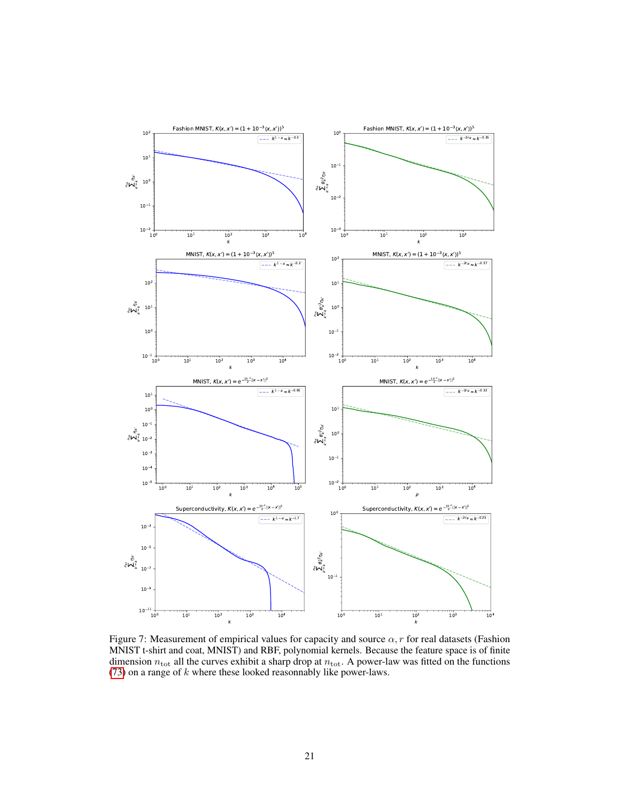<span id="page-7-0"></span>

Figure 7: Measurement of empirical values for capacity and source  $\alpha$ , r for real datasets (Fashion MNIST t-shirt and coat, MNIST) and RBF, polynomial kernels. Because the feature space is of finite dimension  $n_{\text{tot}}$  all the curves exhibit a sharp drop at  $n_{\text{tot}}$ . A power-law was fitted on the functions [\(73\)](#page-5-0) on a range of  $k$  where these looked reasonnably like power-laws.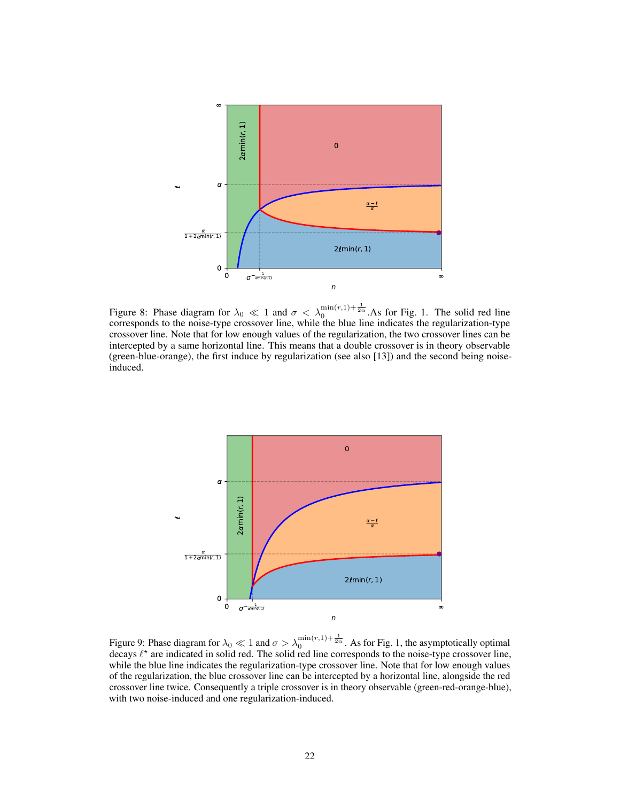<span id="page-8-0"></span>

Figure 8: Phase diagram for  $\lambda_0 \ll 1$  and  $\sigma < \lambda_0^{\min(r,1)+\frac{1}{2\alpha}}$ . As for Fig. 1. The solid red line corresponds to the noise-type crossover line, while the blue line indicates the regularization-type crossover line. Note that for low enough values of the regularization, the two crossover lines can be intercepted by a same horizontal line. This means that a double crossover is in theory observable (green-blue-orange), the first induce by regularization (see also [13]) and the second being noiseinduced.

<span id="page-8-1"></span>

Figure 9: Phase diagram for  $\lambda_0 \ll 1$  and  $\sigma > \lambda_0^{\min(r,1)+\frac{1}{2\alpha}}$ . As for Fig. 1, the asymptotically optimal decays  $\ell^*$  are indicated in solid red. The solid red line corresponds to the noise-type crossover line, while the blue line indicates the regularization-type crossover line. Note that for low enough values of the regularization, the blue crossover line can be intercepted by a horizontal line, alongside the red crossover line twice. Consequently a triple crossover is in theory observable (green-red-orange-blue), with two noise-induced and one regularization-induced.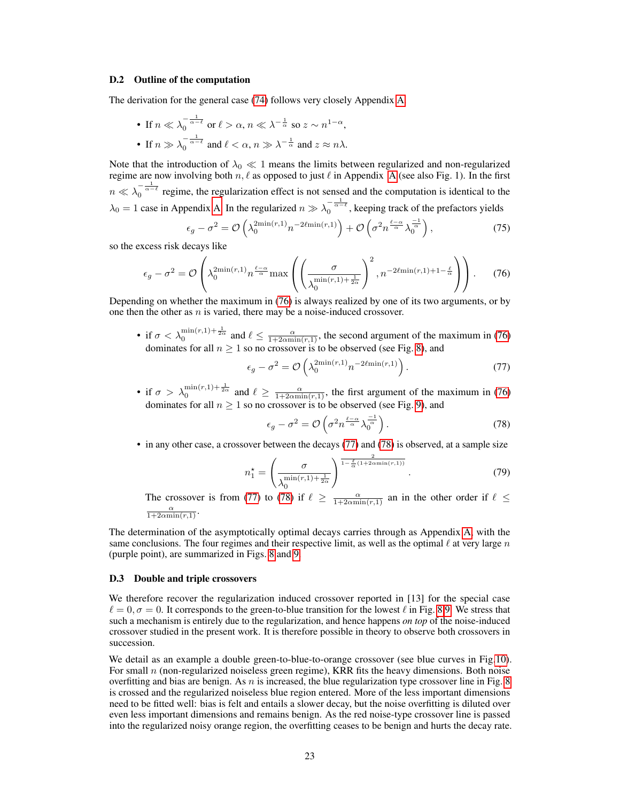#### D.2 Outline of the computation

The derivation for the general case [\(74\)](#page-6-0) follows very closely Appendix [A.](#page-0-5)

• If 
$$
n \ll \lambda_0^{-\frac{1}{\alpha-\ell}}
$$
 or  $\ell > \alpha$ ,  $n \ll \lambda^{-\frac{1}{\alpha}}$  so  $z \sim n^{1-\alpha}$ ,  
• If  $n \gg \lambda_0^{-\frac{1}{\alpha-\ell}}$  and  $\ell < \alpha$ ,  $n \gg \lambda^{-\frac{1}{\alpha}}$  and  $z \approx n\lambda$ .

Note that the introduction of  $\lambda_0 \ll 1$  means the limits between regularized and non-regularized regime are now involving both  $n, \ell$  as opposed to just  $\ell$  in [A](#page-0-5)ppendix A (see also Fig. 1). In the first  $n \ll \lambda_0^{-\frac{1}{\alpha-\ell}}$  regime, the regularization effect is not sensed and the computation is identical to the  $\lambda_0 = 1$  case in Appendix [A.](#page-0-5) In the regularized  $n \gg \lambda_0^{-\frac{1}{\alpha-\ell}}$ , keeping track of the prefactors yields

<span id="page-9-0"></span>
$$
\epsilon_g - \sigma^2 = \mathcal{O}\left(\lambda_0^{2\min(r,1)} n^{-2\ell\min(r,1)}\right) + \mathcal{O}\left(\sigma^2 n^{\frac{\ell-\alpha}{\alpha}} \lambda_0^{\frac{-1}{\alpha}}\right),\tag{75}
$$

so the excess risk decays like

$$
\epsilon_g - \sigma^2 = \mathcal{O}\left(\lambda_0^{2\min(r,1)} n^{\frac{\ell-\alpha}{\alpha}} \max\left(\left(\frac{\sigma}{\lambda_0^{\min(r,1)+\frac{1}{2\alpha}}}\right)^2, n^{-2\ell\min(r,1)+1-\frac{\ell}{\alpha}}\right)\right). \tag{76}
$$

Depending on whether the maximum in [\(76\)](#page-9-0) is always realized by one of its two arguments, or by one then the other as  $n$  is varied, there may be a noise-induced crossover.

• if  $\sigma < \lambda_0^{\min(r,1)+\frac{1}{2\alpha}}$  and  $\ell \leq \frac{\alpha}{1+2\alpha\min(r,1)}$ , the second argument of the maximum in [\(76\)](#page-9-0) dominates for all  $n > 1$  so no crossover is to be observed (see Fig. [8\)](#page-8-0), and

$$
\epsilon_g - \sigma^2 = \mathcal{O}\left(\lambda_0^{2\min(r,1)} n^{-2\ell\min(r,1)}\right). \tag{77}
$$

• if  $\sigma > \lambda_0^{\min(r,1)+\frac{1}{2\alpha}}$  and  $\ell \ge \frac{\alpha}{1+2\alpha\min(r,1)}$ , the first argument of the maximum in [\(76\)](#page-9-0) dominates for all  $n \geq 1$  so no crossover is to be observed (see Fig. [9\)](#page-8-1), and

<span id="page-9-2"></span><span id="page-9-1"></span>
$$
\epsilon_g - \sigma^2 = \mathcal{O}\left(\sigma^2 n^{\frac{\ell - \alpha}{\alpha}} \lambda_0^{\frac{-1}{\alpha}}\right). \tag{78}
$$

• in any other case, a crossover between the decays [\(77\)](#page-9-1) and [\(78\)](#page-9-2) is observed, at a sample size

$$
n_1^* = \left(\frac{\sigma}{\lambda_0^{\min(r, 1) + \frac{1}{2\alpha}}}\right)^{\frac{2}{1 - \frac{\ell}{\alpha}(1 + 2\alpha\min(r, 1))}}.
$$
(79)

The crossover is from [\(77\)](#page-9-1) to [\(78\)](#page-9-2) if  $\ell \ge \frac{\alpha}{1+2\alpha \min(r,1)}$  an in the other order if  $\ell \le$  $\frac{\alpha}{1+2\alpha\min(r,1)}.$ 

The determination of the asymptotically optimal decays carries through as Appendix [A,](#page-0-5) with the same conclusions. The four regimes and their respective limit, as well as the optimal  $\ell$  at very large n (purple point), are summarized in Figs. [8](#page-8-0) and [9.](#page-8-1)

#### D.3 Double and triple crossovers

We therefore recover the regularization induced crossover reported in [13] for the special case  $\ell = 0, \sigma = 0$ . It corresponds to the green-to-blue transition for the lowest  $\ell$  in Fig. [8](#page-8-0) [9.](#page-8-1) We stress that such a mechanism is entirely due to the regularization, and hence happens *on top* of the noise-induced crossover studied in the present work. It is therefore possible in theory to observe both crossovers in succession.

We detail as an example a double green-to-blue-to-orange crossover (see blue curves in Fig[.10\)](#page-10-0). For small  $n$  (non-regularized noiseless green regime), KRR fits the heavy dimensions. Both noise overfitting and bias are benign. As n is increased, the blue regularization type crossover line in Fig. [8](#page-8-0) is crossed and the regularized noiseless blue region entered. More of the less important dimensions need to be fitted well: bias is felt and entails a slower decay, but the noise overfitting is diluted over even less important dimensions and remains benign. As the red noise-type crossover line is passed into the regularized noisy orange region, the overfitting ceases to be benign and hurts the decay rate.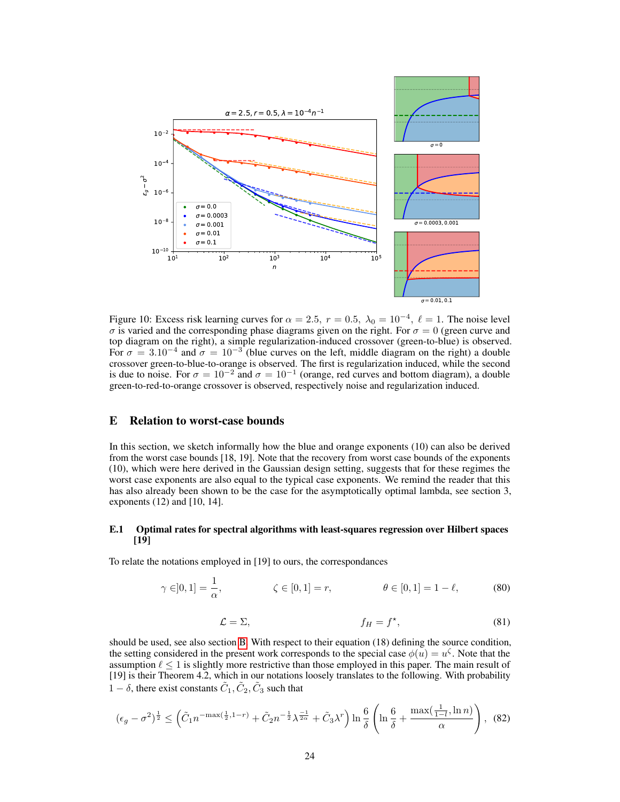<span id="page-10-0"></span>

Figure 10: Excess risk learning curves for  $\alpha = 2.5$ ,  $r = 0.5$ ,  $\lambda_0 = 10^{-4}$ ,  $\ell = 1$ . The noise level  $\sigma$  is varied and the corresponding phase diagrams given on the right. For  $\sigma = 0$  (green curve and top diagram on the right), a simple regularization-induced crossover (green-to-blue) is observed. For  $\sigma = 3.10^{-4}$  and  $\sigma = 10^{-3}$  (blue curves on the left, middle diagram on the right) a double crossover green-to-blue-to-orange is observed. The first is regularization induced, while the second is due to noise. For  $\sigma = 10^{-2}$  and  $\sigma = 10^{-1}$  (orange, red curves and bottom diagram), a double green-to-red-to-orange crossover is observed, respectively noise and regularization induced.

# E Relation to worst-case bounds

In this section, we sketch informally how the blue and orange exponents (10) can also be derived from the worst case bounds [18, 19]. Note that the recovery from worst case bounds of the exponents (10), which were here derived in the Gaussian design setting, suggests that for these regimes the worst case exponents are also equal to the typical case exponents. We remind the reader that this has also already been shown to be the case for the asymptotically optimal lambda, see section 3, exponents (12) and [10, 14].

# E.1 Optimal rates for spectral algorithms with least-squares regression over Hilbert spaces [19]

To relate the notations employed in [19] to ours, the correspondances

$$
\gamma \in ]0,1] = \frac{1}{\alpha}, \qquad \zeta \in [0,1] = r, \qquad \theta \in [0,1] = 1 - \ell, \qquad (80)
$$

$$
\mathcal{L} = \Sigma, \qquad f_H = f^\star, \tag{81}
$$

should be used, see also section [B.](#page-5-1) With respect to their equation (18) defining the source condition, the setting considered in the present work corresponds to the special case  $\phi(u) = u^{\zeta}$ . Note that the assumption  $\ell \leq 1$  is slightly more restrictive than those employed in this paper. The main result of [19] is their Theorem 4.2, which in our notations loosely translates to the following. With probability 1 –  $\delta$ , there exist constants  $\tilde{C}_1$ ,  $\tilde{C}_2$ ,  $\tilde{C}_3$  such that

$$
(\epsilon_g - \sigma^2)^{\frac{1}{2}} \le \left( \tilde{C}_1 n^{-\max(\frac{1}{2}, 1 - r)} + \tilde{C}_2 n^{-\frac{1}{2}} \lambda^{\frac{-1}{2\alpha}} + \tilde{C}_3 \lambda^r \right) \ln \frac{6}{\delta} \left( \ln \frac{6}{\delta} + \frac{\max(\frac{1}{1 - l}, \ln n)}{\alpha} \right), \tag{82}
$$